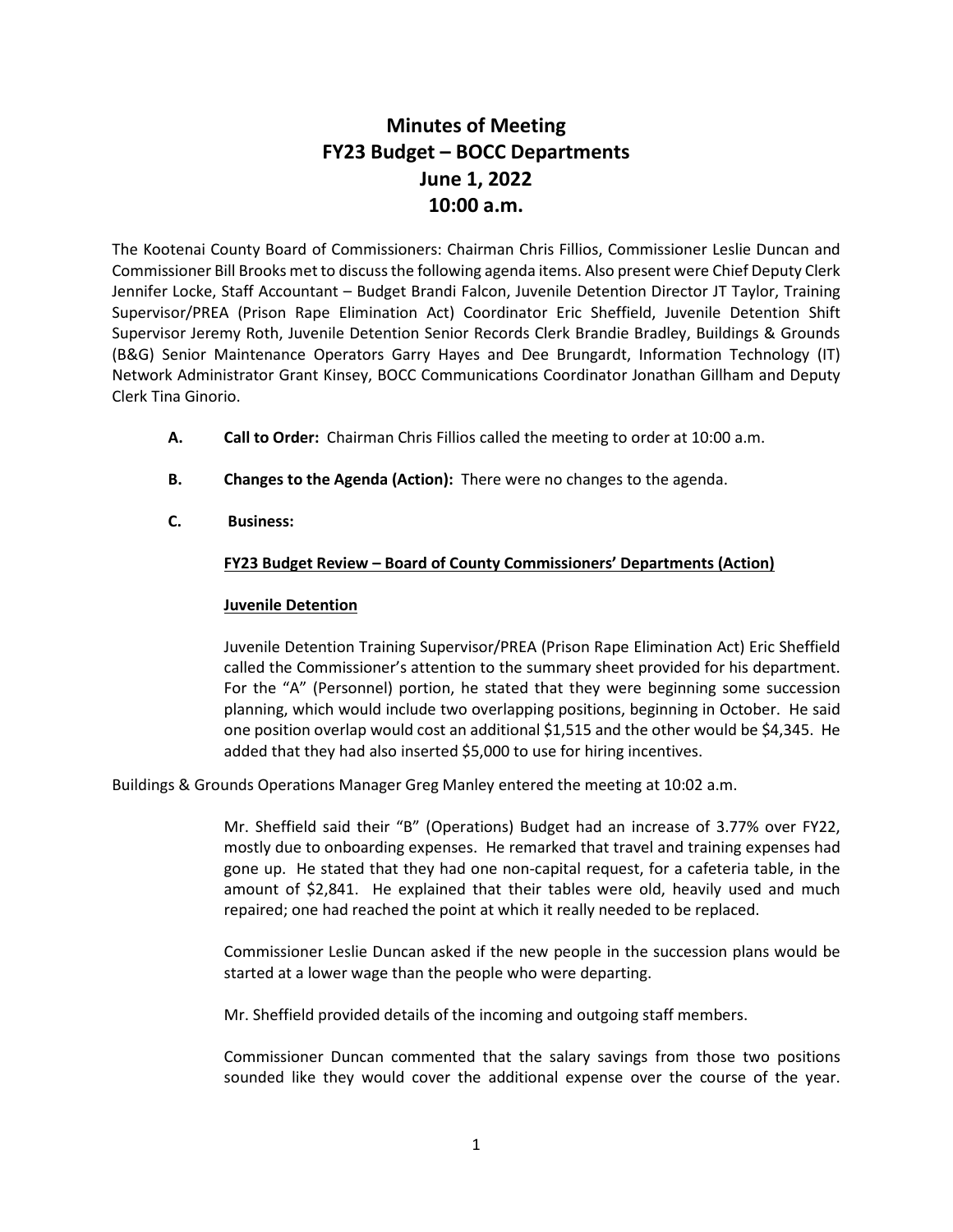# **Minutes of Meeting FY23 Budget – BOCC Departments June 1, 2022 10:00 a.m.**

The Kootenai County Board of Commissioners: Chairman Chris Fillios, Commissioner Leslie Duncan and Commissioner Bill Brooks met to discuss the following agenda items. Also present were Chief Deputy Clerk Jennifer Locke, Staff Accountant – Budget Brandi Falcon, Juvenile Detention Director JT Taylor, Training Supervisor/PREA (Prison Rape Elimination Act) Coordinator Eric Sheffield, Juvenile Detention Shift Supervisor Jeremy Roth, Juvenile Detention Senior Records Clerk Brandie Bradley, Buildings & Grounds (B&G) Senior Maintenance Operators Garry Hayes and Dee Brungardt, Information Technology (IT) Network Administrator Grant Kinsey, BOCC Communications Coordinator Jonathan Gillham and Deputy Clerk Tina Ginorio.

- **A. Call to Order:** Chairman Chris Fillios called the meeting to order at 10:00 a.m.
- **B. Changes to the Agenda (Action):** There were no changes to the agenda.
- **C. Business:**

# **FY23 Budget Review – Board of County Commissioners' Departments (Action)**

# **Juvenile Detention**

Juvenile Detention Training Supervisor/PREA (Prison Rape Elimination Act) Eric Sheffield called the Commissioner's attention to the summary sheet provided for his department. For the "A" (Personnel) portion, he stated that they were beginning some succession planning, which would include two overlapping positions, beginning in October. He said one position overlap would cost an additional \$1,515 and the other would be \$4,345. He added that they had also inserted \$5,000 to use for hiring incentives.

Buildings & Grounds Operations Manager Greg Manley entered the meeting at 10:02 a.m.

Mr. Sheffield said their "B" (Operations) Budget had an increase of 3.77% over FY22, mostly due to onboarding expenses. He remarked that travel and training expenses had gone up. He stated that they had one non-capital request, for a cafeteria table, in the amount of \$2,841. He explained that their tables were old, heavily used and much repaired; one had reached the point at which it really needed to be replaced.

Commissioner Leslie Duncan asked if the new people in the succession plans would be started at a lower wage than the people who were departing.

Mr. Sheffield provided details of the incoming and outgoing staff members.

Commissioner Duncan commented that the salary savings from those two positions sounded like they would cover the additional expense over the course of the year.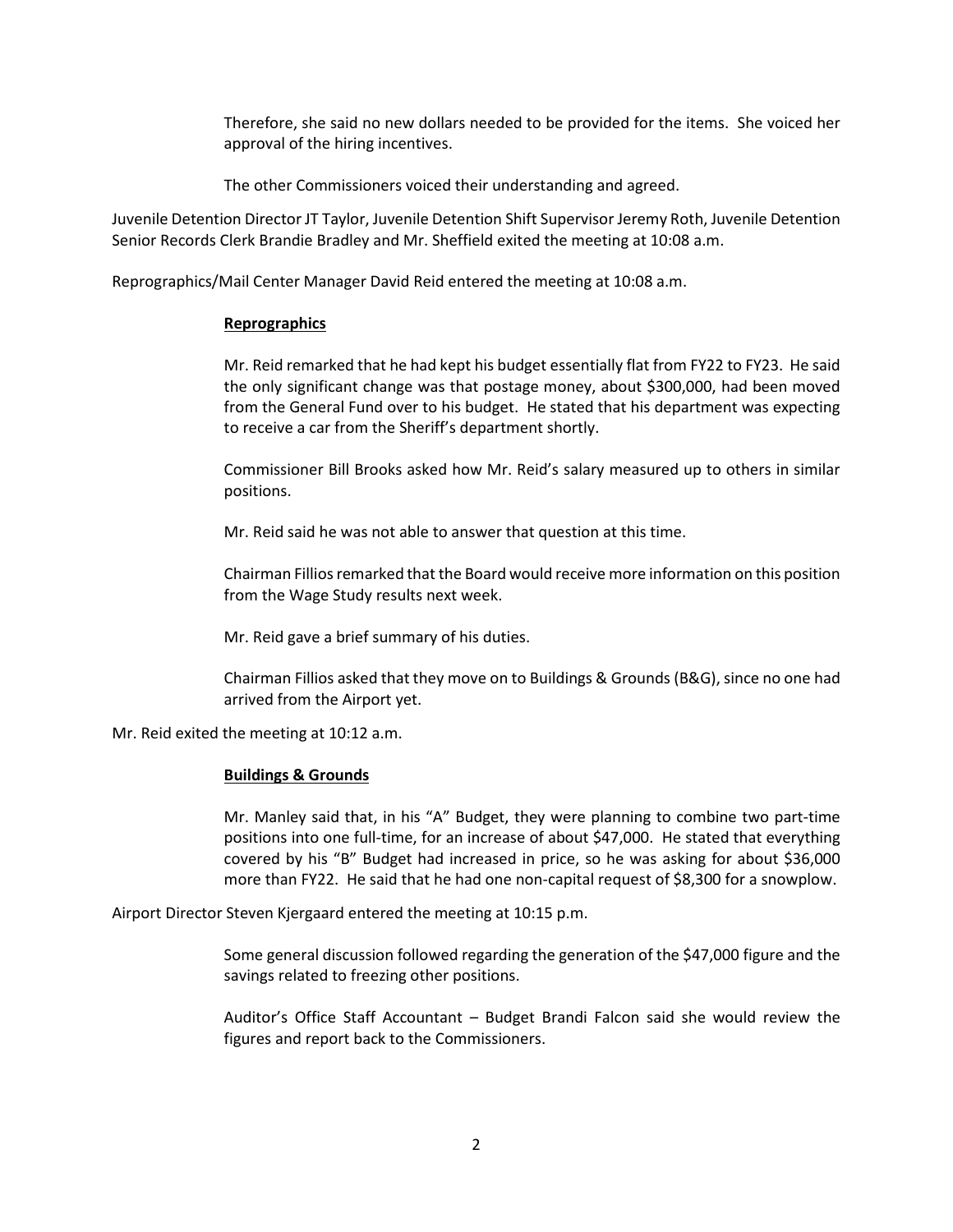Therefore, she said no new dollars needed to be provided for the items. She voiced her approval of the hiring incentives.

The other Commissioners voiced their understanding and agreed.

Juvenile Detention Director JT Taylor, Juvenile Detention Shift Supervisor Jeremy Roth, Juvenile Detention Senior Records Clerk Brandie Bradley and Mr. Sheffield exited the meeting at 10:08 a.m.

Reprographics/Mail Center Manager David Reid entered the meeting at 10:08 a.m.

# **Reprographics**

Mr. Reid remarked that he had kept his budget essentially flat from FY22 to FY23. He said the only significant change was that postage money, about \$300,000, had been moved from the General Fund over to his budget. He stated that his department was expecting to receive a car from the Sheriff's department shortly.

Commissioner Bill Brooks asked how Mr. Reid's salary measured up to others in similar positions.

Mr. Reid said he was not able to answer that question at this time.

Chairman Fillios remarked that the Board would receive more information on this position from the Wage Study results next week.

Mr. Reid gave a brief summary of his duties.

Chairman Fillios asked that they move on to Buildings & Grounds (B&G), since no one had arrived from the Airport yet.

Mr. Reid exited the meeting at 10:12 a.m.

## **Buildings & Grounds**

Mr. Manley said that, in his "A" Budget, they were planning to combine two part-time positions into one full-time, for an increase of about \$47,000. He stated that everything covered by his "B" Budget had increased in price, so he was asking for about \$36,000 more than FY22. He said that he had one non-capital request of \$8,300 for a snowplow.

Airport Director Steven Kjergaard entered the meeting at 10:15 p.m.

Some general discussion followed regarding the generation of the \$47,000 figure and the savings related to freezing other positions.

Auditor's Office Staff Accountant – Budget Brandi Falcon said she would review the figures and report back to the Commissioners.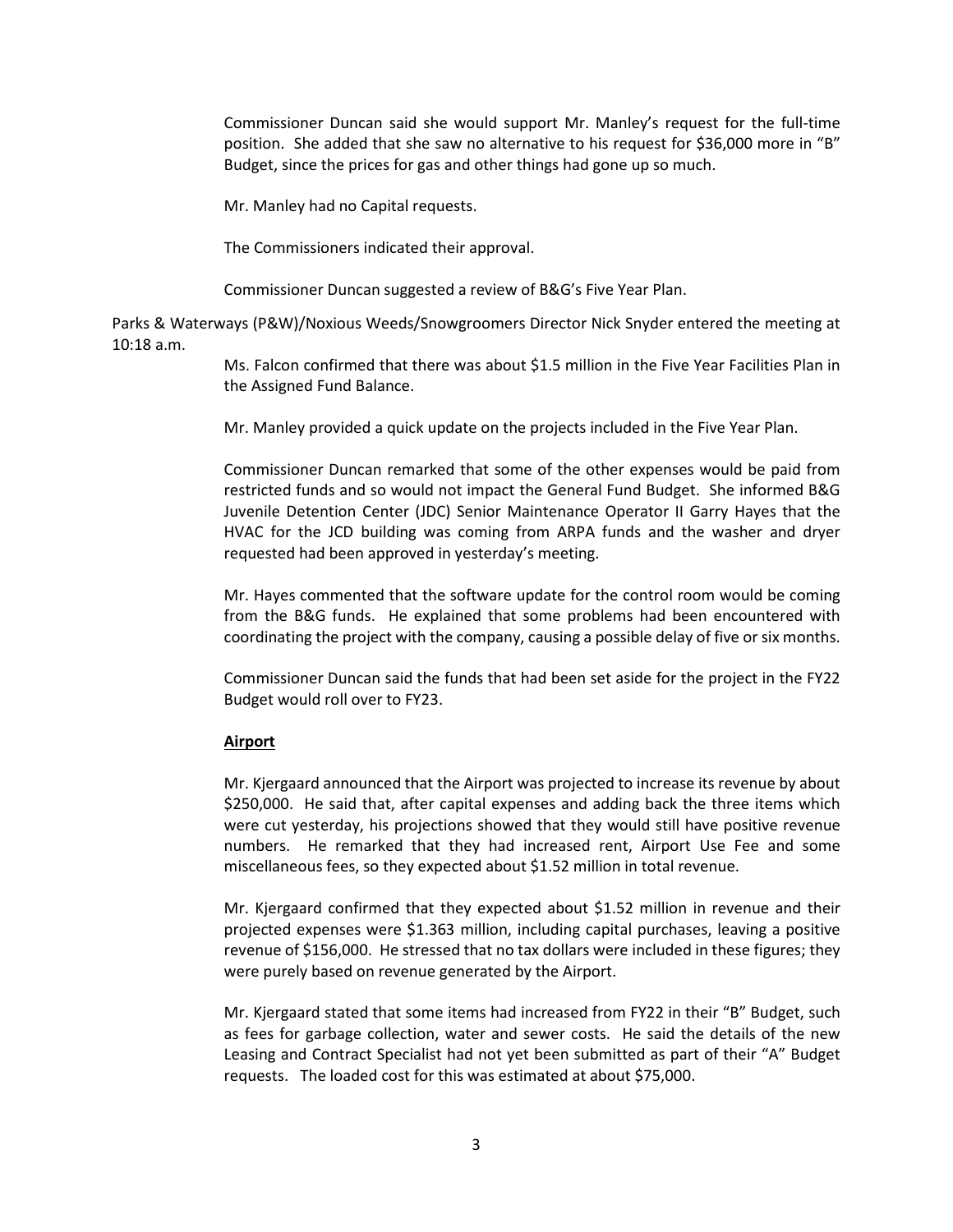Commissioner Duncan said she would support Mr. Manley's request for the full-time position. She added that she saw no alternative to his request for \$36,000 more in "B" Budget, since the prices for gas and other things had gone up so much.

Mr. Manley had no Capital requests.

The Commissioners indicated their approval.

Commissioner Duncan suggested a review of B&G's Five Year Plan.

Parks & Waterways (P&W)/Noxious Weeds/Snowgroomers Director Nick Snyder entered the meeting at 10:18 a.m.

> Ms. Falcon confirmed that there was about \$1.5 million in the Five Year Facilities Plan in the Assigned Fund Balance.

Mr. Manley provided a quick update on the projects included in the Five Year Plan.

Commissioner Duncan remarked that some of the other expenses would be paid from restricted funds and so would not impact the General Fund Budget. She informed B&G Juvenile Detention Center (JDC) Senior Maintenance Operator II Garry Hayes that the HVAC for the JCD building was coming from ARPA funds and the washer and dryer requested had been approved in yesterday's meeting.

Mr. Hayes commented that the software update for the control room would be coming from the B&G funds. He explained that some problems had been encountered with coordinating the project with the company, causing a possible delay of five or six months.

Commissioner Duncan said the funds that had been set aside for the project in the FY22 Budget would roll over to FY23.

# **Airport**

Mr. Kjergaard announced that the Airport was projected to increase its revenue by about \$250,000. He said that, after capital expenses and adding back the three items which were cut yesterday, his projections showed that they would still have positive revenue numbers. He remarked that they had increased rent, Airport Use Fee and some miscellaneous fees, so they expected about \$1.52 million in total revenue.

Mr. Kjergaard confirmed that they expected about \$1.52 million in revenue and their projected expenses were \$1.363 million, including capital purchases, leaving a positive revenue of \$156,000. He stressed that no tax dollars were included in these figures; they were purely based on revenue generated by the Airport.

Mr. Kjergaard stated that some items had increased from FY22 in their "B" Budget, such as fees for garbage collection, water and sewer costs. He said the details of the new Leasing and Contract Specialist had not yet been submitted as part of their "A" Budget requests. The loaded cost for this was estimated at about \$75,000.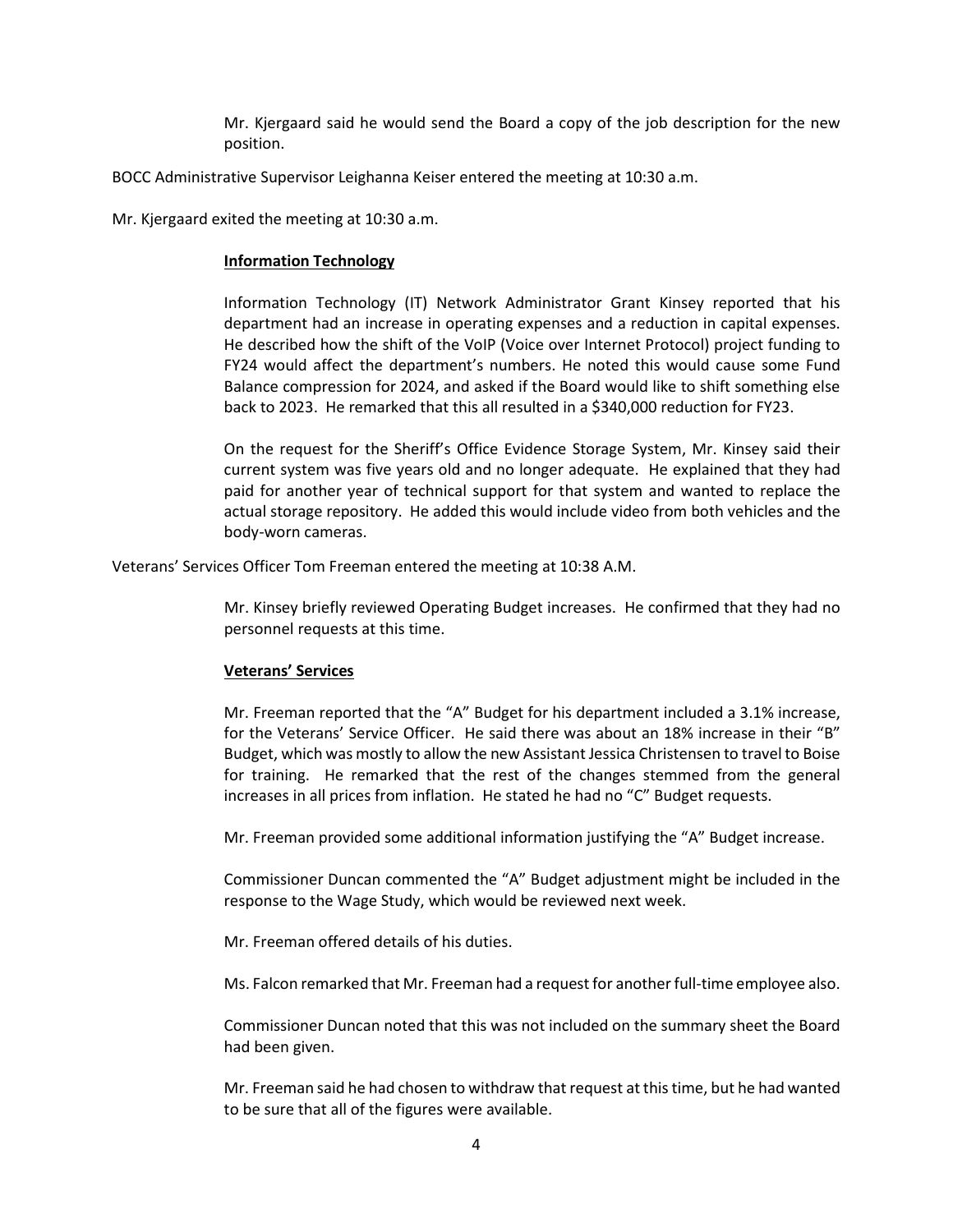Mr. Kjergaard said he would send the Board a copy of the job description for the new position.

BOCC Administrative Supervisor Leighanna Keiser entered the meeting at 10:30 a.m.

Mr. Kjergaard exited the meeting at 10:30 a.m.

#### **Information Technology**

Information Technology (IT) Network Administrator Grant Kinsey reported that his department had an increase in operating expenses and a reduction in capital expenses. He described how the shift of the VoIP (Voice over Internet Protocol) project funding to FY24 would affect the department's numbers. He noted this would cause some Fund Balance compression for 2024, and asked if the Board would like to shift something else back to 2023. He remarked that this all resulted in a \$340,000 reduction for FY23.

On the request for the Sheriff's Office Evidence Storage System, Mr. Kinsey said their current system was five years old and no longer adequate. He explained that they had paid for another year of technical support for that system and wanted to replace the actual storage repository. He added this would include video from both vehicles and the body-worn cameras.

Veterans' Services Officer Tom Freeman entered the meeting at 10:38 A.M.

Mr. Kinsey briefly reviewed Operating Budget increases. He confirmed that they had no personnel requests at this time.

## **Veterans' Services**

Mr. Freeman reported that the "A" Budget for his department included a 3.1% increase, for the Veterans' Service Officer. He said there was about an 18% increase in their "B" Budget, which was mostly to allow the new Assistant Jessica Christensen to travel to Boise for training. He remarked that the rest of the changes stemmed from the general increases in all prices from inflation. He stated he had no "C" Budget requests.

Mr. Freeman provided some additional information justifying the "A" Budget increase.

Commissioner Duncan commented the "A" Budget adjustment might be included in the response to the Wage Study, which would be reviewed next week.

Mr. Freeman offered details of his duties.

Ms. Falcon remarked that Mr. Freeman had a request for another full-time employee also.

Commissioner Duncan noted that this was not included on the summary sheet the Board had been given.

Mr. Freeman said he had chosen to withdraw that request at this time, but he had wanted to be sure that all of the figures were available.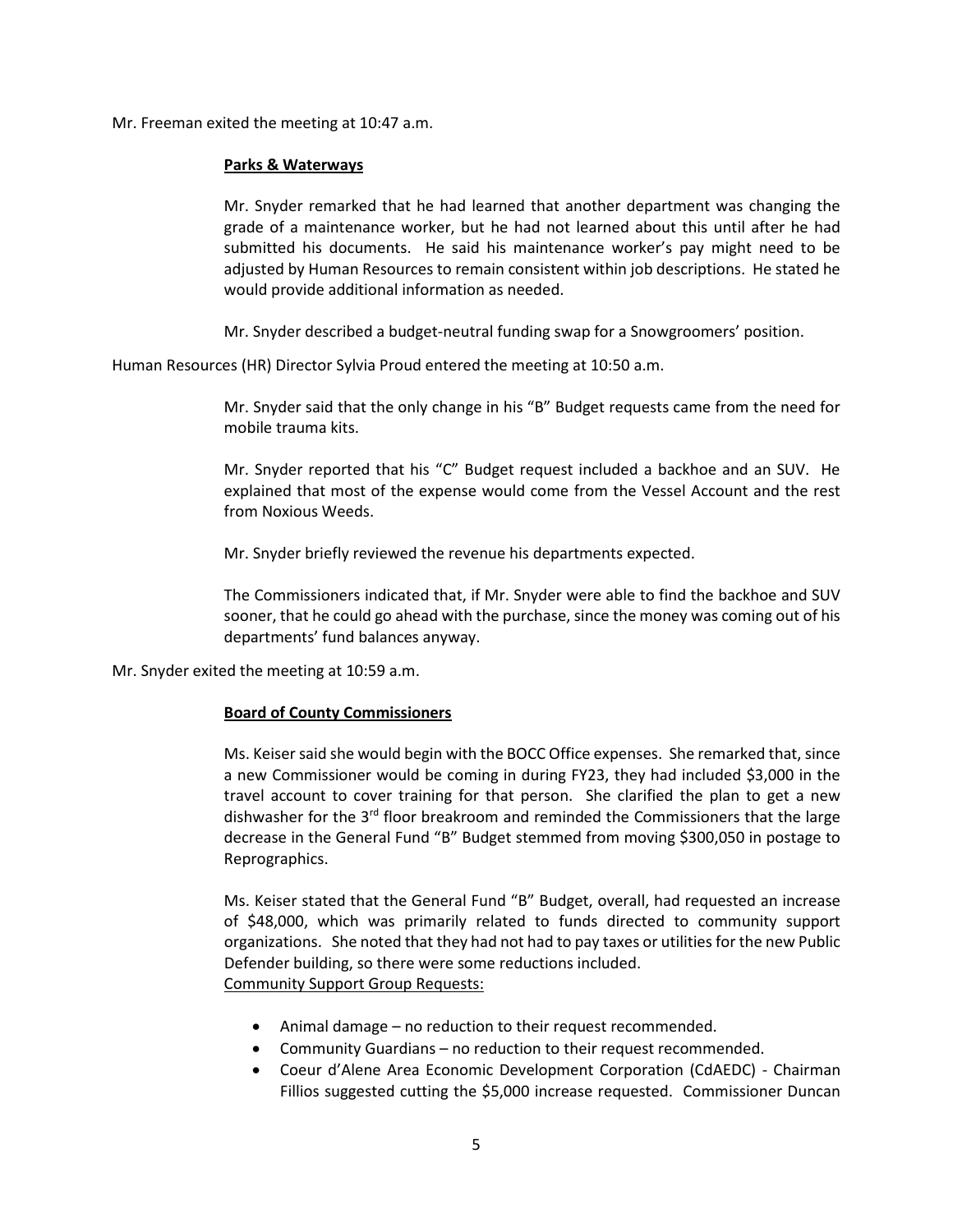Mr. Freeman exited the meeting at 10:47 a.m.

## **Parks & Waterways**

Mr. Snyder remarked that he had learned that another department was changing the grade of a maintenance worker, but he had not learned about this until after he had submitted his documents. He said his maintenance worker's pay might need to be adjusted by Human Resources to remain consistent within job descriptions. He stated he would provide additional information as needed.

Mr. Snyder described a budget-neutral funding swap for a Snowgroomers' position.

Human Resources (HR) Director Sylvia Proud entered the meeting at 10:50 a.m.

Mr. Snyder said that the only change in his "B" Budget requests came from the need for mobile trauma kits.

Mr. Snyder reported that his "C" Budget request included a backhoe and an SUV. He explained that most of the expense would come from the Vessel Account and the rest from Noxious Weeds.

Mr. Snyder briefly reviewed the revenue his departments expected.

The Commissioners indicated that, if Mr. Snyder were able to find the backhoe and SUV sooner, that he could go ahead with the purchase, since the money was coming out of his departments' fund balances anyway.

Mr. Snyder exited the meeting at 10:59 a.m.

## **Board of County Commissioners**

Ms. Keiser said she would begin with the BOCC Office expenses. She remarked that, since a new Commissioner would be coming in during FY23, they had included \$3,000 in the travel account to cover training for that person. She clarified the plan to get a new dishwasher for the  $3<sup>rd</sup>$  floor breakroom and reminded the Commissioners that the large decrease in the General Fund "B" Budget stemmed from moving \$300,050 in postage to Reprographics.

Ms. Keiser stated that the General Fund "B" Budget, overall, had requested an increase of \$48,000, which was primarily related to funds directed to community support organizations. She noted that they had not had to pay taxes or utilities for the new Public Defender building, so there were some reductions included. Community Support Group Requests:

- Animal damage no reduction to their request recommended.
- Community Guardians no reduction to their request recommended.
- Coeur d'Alene Area Economic Development Corporation (CdAEDC) Chairman Fillios suggested cutting the \$5,000 increase requested. Commissioner Duncan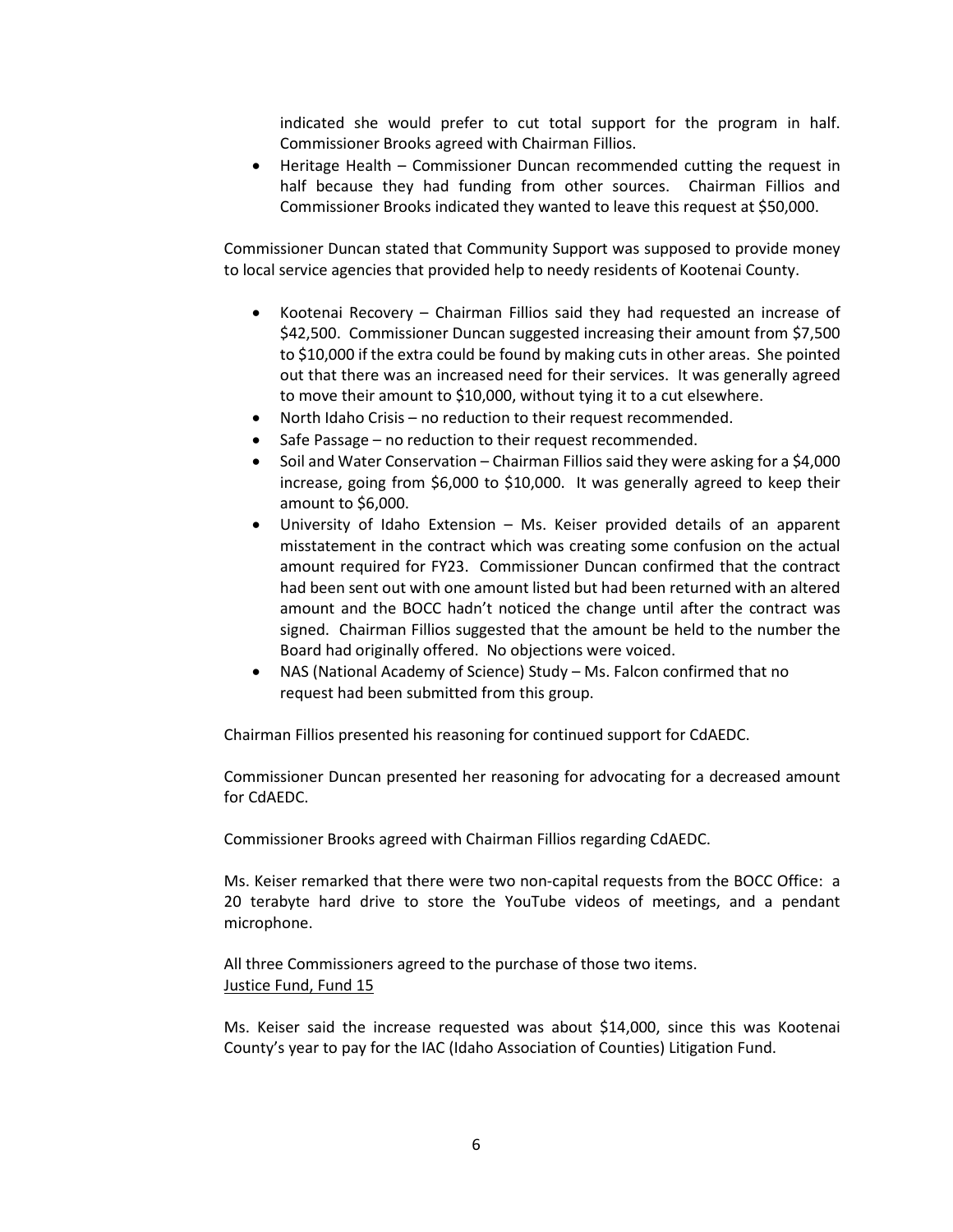indicated she would prefer to cut total support for the program in half. Commissioner Brooks agreed with Chairman Fillios.

• Heritage Health – Commissioner Duncan recommended cutting the request in half because they had funding from other sources. Chairman Fillios and Commissioner Brooks indicated they wanted to leave this request at \$50,000.

Commissioner Duncan stated that Community Support was supposed to provide money to local service agencies that provided help to needy residents of Kootenai County.

- Kootenai Recovery Chairman Fillios said they had requested an increase of \$42,500. Commissioner Duncan suggested increasing their amount from \$7,500 to \$10,000 if the extra could be found by making cuts in other areas. She pointed out that there was an increased need for their services. It was generally agreed to move their amount to \$10,000, without tying it to a cut elsewhere.
- North Idaho Crisis no reduction to their request recommended.
- Safe Passage no reduction to their request recommended.
- Soil and Water Conservation Chairman Fillios said they were asking for a \$4,000 increase, going from \$6,000 to \$10,000. It was generally agreed to keep their amount to \$6,000.
- University of Idaho Extension Ms. Keiser provided details of an apparent misstatement in the contract which was creating some confusion on the actual amount required for FY23. Commissioner Duncan confirmed that the contract had been sent out with one amount listed but had been returned with an altered amount and the BOCC hadn't noticed the change until after the contract was signed. Chairman Fillios suggested that the amount be held to the number the Board had originally offered. No objections were voiced.
- NAS (National Academy of Science) Study Ms. Falcon confirmed that no request had been submitted from this group.

Chairman Fillios presented his reasoning for continued support for CdAEDC.

Commissioner Duncan presented her reasoning for advocating for a decreased amount for CdAEDC.

Commissioner Brooks agreed with Chairman Fillios regarding CdAEDC.

Ms. Keiser remarked that there were two non-capital requests from the BOCC Office: a 20 terabyte hard drive to store the YouTube videos of meetings, and a pendant microphone.

All three Commissioners agreed to the purchase of those two items. Justice Fund, Fund 15

Ms. Keiser said the increase requested was about \$14,000, since this was Kootenai County's year to pay for the IAC (Idaho Association of Counties) Litigation Fund.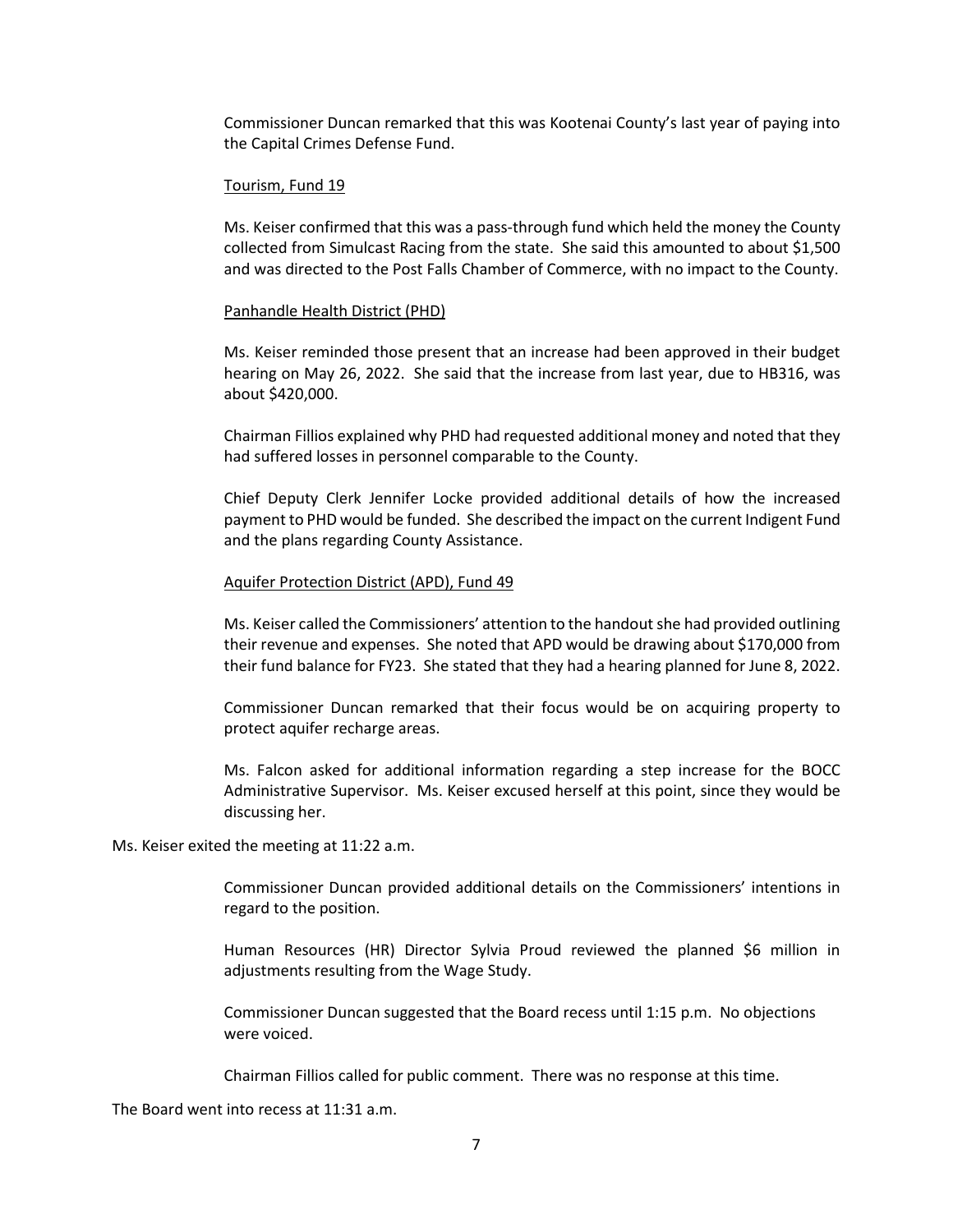Commissioner Duncan remarked that this was Kootenai County's last year of paying into the Capital Crimes Defense Fund.

#### Tourism, Fund 19

Ms. Keiser confirmed that this was a pass-through fund which held the money the County collected from Simulcast Racing from the state. She said this amounted to about \$1,500 and was directed to the Post Falls Chamber of Commerce, with no impact to the County.

#### Panhandle Health District (PHD)

Ms. Keiser reminded those present that an increase had been approved in their budget hearing on May 26, 2022. She said that the increase from last year, due to HB316, was about \$420,000.

Chairman Fillios explained why PHD had requested additional money and noted that they had suffered losses in personnel comparable to the County.

Chief Deputy Clerk Jennifer Locke provided additional details of how the increased payment to PHD would be funded. She described the impact on the current Indigent Fund and the plans regarding County Assistance.

#### Aquifer Protection District (APD), Fund 49

Ms. Keiser called the Commissioners' attention to the handout she had provided outlining their revenue and expenses. She noted that APD would be drawing about \$170,000 from their fund balance for FY23. She stated that they had a hearing planned for June 8, 2022.

Commissioner Duncan remarked that their focus would be on acquiring property to protect aquifer recharge areas.

Ms. Falcon asked for additional information regarding a step increase for the BOCC Administrative Supervisor. Ms. Keiser excused herself at this point, since they would be discussing her.

Ms. Keiser exited the meeting at 11:22 a.m.

Commissioner Duncan provided additional details on the Commissioners' intentions in regard to the position.

Human Resources (HR) Director Sylvia Proud reviewed the planned \$6 million in adjustments resulting from the Wage Study.

Commissioner Duncan suggested that the Board recess until 1:15 p.m. No objections were voiced.

Chairman Fillios called for public comment. There was no response at this time.

The Board went into recess at 11:31 a.m.